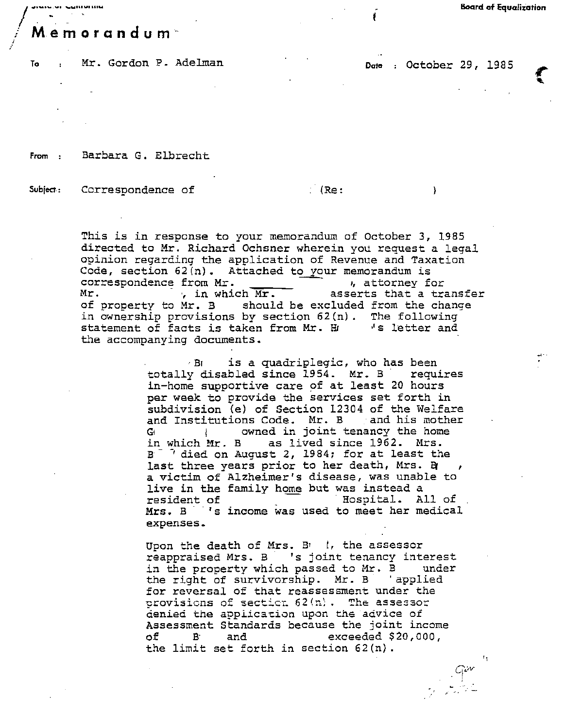## $/ \int$ , which constraints are the set of  $\mathcal{L} = \{1, 2, \ldots, n\}$  . In the set of  $\mathcal{L} = \{1, 2, \ldots, n\}$ *<sup>i</sup>*Memorandum

To : Mr. Gordon P. Adelman **Dote** : October 29, 1985

<sup>1</sup>

**\** 

':

 $\frac{q^{\omega}}{1-\frac{1}{2}}$ 

From Barbara G. Elbrecht

Subject: Correspondence of (Re:

This is in response to your memorandum of October 3, 1985 directed to Mr. Richard Ochsner wherein you request a legal opinion regarding the application of Revenue and Taxation Code, section  $62(n)$ . Attached to your memorandum is correspondence from Mr.<br>, attorney f correspondence from Mr. \_\_\_\_\_\_ \_\_\_\_\_ , attorney for  $M_r$ .  $\frac{1}{2}$ , in which  $\overline{Mr}$ . asserts that a transfer of property to Mr. B should be excluded from the change in ownership provisions by section 62(n). The following<br>statement of facts is taken from Mr. H. Is letter and statement of facts is taken from Mr. H the accompanying documents.

...... \_ -· \_ ........... .. . Board of Equalization

 $\cdot$ B<sub>I</sub> is a quadriplegic, who has been totally disabled since 1954. Mr. B requires in-home supportive care of at least 20 hours per week to provide the services set forth in subdivision (e) of Section 12304 of the Welfare and Institutions Code. Mr. B and *his* mother G<sub>i</sub> is owned in joint tenancy the home in which Mr. B as lived since 1962. Mrs.  $B^{-1}$  died on August 2, 1984; for at least the last three years prior to her death, Mrs. B a victim of Alzheimer's disease, was unable to live in the family home but was instead a resident of Thospital. All of Mrs. B 's income was used to meet her medical expenses ..

Upon the death of Mrs.  $B_1$  |, the assessor reappraised Mrs. B 's joint tenancy interest in the property which passed to Mr. B under the right of survivorship. Mr. B 'applied for reversal of that reassessment under the provisions of section  $62(n)$ . The assessor denied the application upon the advice of Assessment Standards because the joint income of B· and exceeded \$20,000, the limit set forth in section 62(n).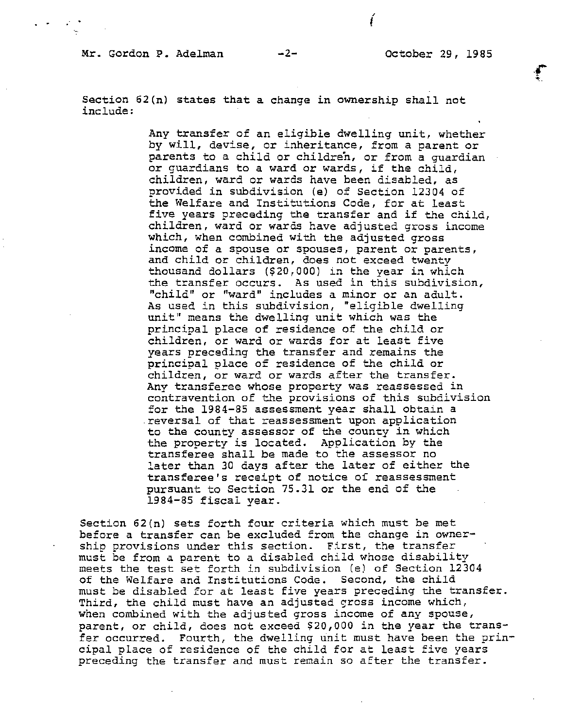## Mr. Gordon P. Adelman -2- October 29, 1985

*{* 

Section 62(n) states that a change in ownership shall not include:

> Any transfer of an eligible dwelling unit, whether by will, devise, or inheritance, from a parent or parents to a child or children, or from a guardian or guardians to a ward or wards, if the child, children, ward or wards have been disabled, as provided in subdivision (e) of Section 12304 of the Welfare and Institutions Code, for at least five years preceding the transfer and if the child, children, ward or wards have adjusted gross income which, when combined with the adjusted gross income of a spouse or spouses, parent or parents, and child or children, does not exceed twentv thousand dollars (\$20,000) in the year in which the transfer occurs. As used in this subdivision, "child" or "ward" includes a minor or an adult. As used *in* this subdivision, "eligible dwelling unit" means the dwelling unit which was the principal place of residence of the child or children, or ward or wards for at least five years preceding the transfer and remains the principal place of residence of the child or children, or ward or wards after the transfer. Any transferee whose property was reassessed in contravention of the provisions of this subdivision for the 1984-85 assessment year shall obtain a reversal of that reassessment upon application to the county assessor of the county *in* which the property is located. Application by the transferee shall be made to the assessor no later than 30 days after the later of either the transferee's receipt of notice of reassessment pursuant to Section 75.31 or the end of the 1984-85 fiscal year.

Section 62(n) sets forth four criteria which must be met before a transfer can be excluded from the change in ownership provisions under this section. First, the transfer must be from *a* parent to a disabled child whose disability meets the test set forth in subdivision (e) of Section 12304 of the Welfare and Institutions Code. Second, the child must be disabled for at least five years preceding the transfer. Third, the child must have an adjusted gross income which, when combined with the adjusted gross income of any spouse, parent, or child, does not exceed \$20,000 *in* the year the transfer occurred. Fourth, the dwelling unit must have been the principal place of residence of the child for at least five years preceding the transfer and must remain so after the transfer.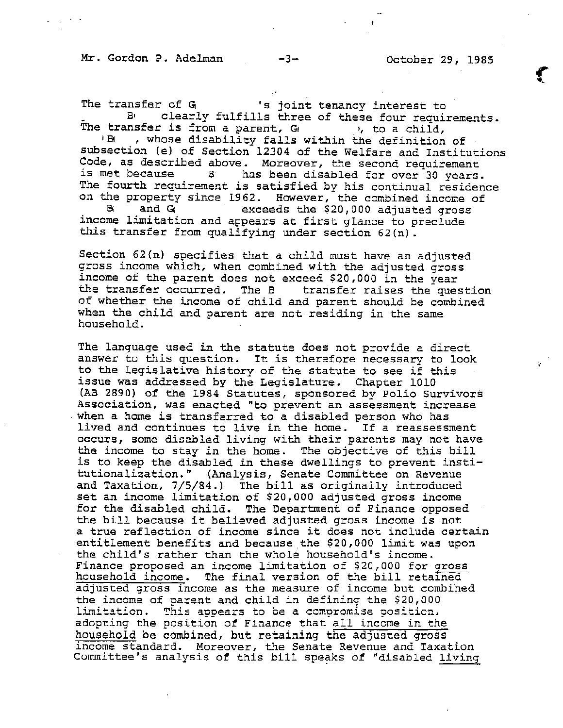Mr. Gordon P. Adelman -3- October 29, 1985

The transfer of  $G_i$  's joint tenancy interest to<br>By clearly fulfills three of these four require clearly fulfills three of these four requirements. The transfer is from a parent,  $G_1$  , to a child,<br>(B) , whose disability falls within the definition , whose disability falls within the definition of subsection (e) of Section 12304 of the Welfare and Institutions Code, as described above. Moreover, the second requirement<br>is met because  $B$  has been disabled for over 30 years. has been disabled for over<sup>30</sup> years. The fourth requirement is satisfied by his continual residence on the property since 1962. However, the combined income of<br>B and G exceeds the \$20.000 adjusted gross exceeds the \$20,000 adjusted gross income limitation and appears at first glance to preclude this transfer from qualifying under section 62(n).

Section 62(n) specifies that a child must have an adjusted gross income which, when combined with the adjusted gross income of the parent does not exceed \$20,000 in the year the transfer occurred. The B transfer raises the question of whether the income of child and parent should be combined when the child and parent are not residing in the same household. -

The language used in the statute does not provide a direct answer to this question. It *is* therefore necessary to look to the legislative history of the statute to see if this issue was addressed by the Legislature. Chapter 1010 (AB 2890) of the 1984 Statutes, sponsored by Polio Survivors Association, was enacted "to prevent an assessment increase when a home is transferred to a disabled person who has lived and continues to live in the home. If a reassessment occurs, some disabled living with their parents may not have the *income* to stay in the home. The objective of this bill is to keep the disabled in these dwellings to prevent institutionalization." (Analysis, Senate Committee on Revenue and Taxation, 7/5/84.) The bill as originally introduced set an income limitation of \$20,000 adjusted gross income for the disabled child. The Department of Finance opposed the bill because it believed adjusted gross income is not a true reflection of income since it does not include certain entitlement benefits and because the \$20,000 limit was upon the child's rather than the whole household's income. Finance proposed an income limitation of \$20,000 for gross finance proposed an income fimitation of 920,000 for 91033<br>household income. The final version of the bill retained adjusted gross income as the measure of income but combined the income of parent and child in defining the  $$20,000$ limitation. This appears to be a compromise position. adopting the position of Finance that all income in the household be combined, but retaining the adjusted gross income standard. Moreover, the Senate Revenue and Taxation Committee's analysis of this bill speaks of "disabled living

 $\ddot{\cdot}$ 

,.